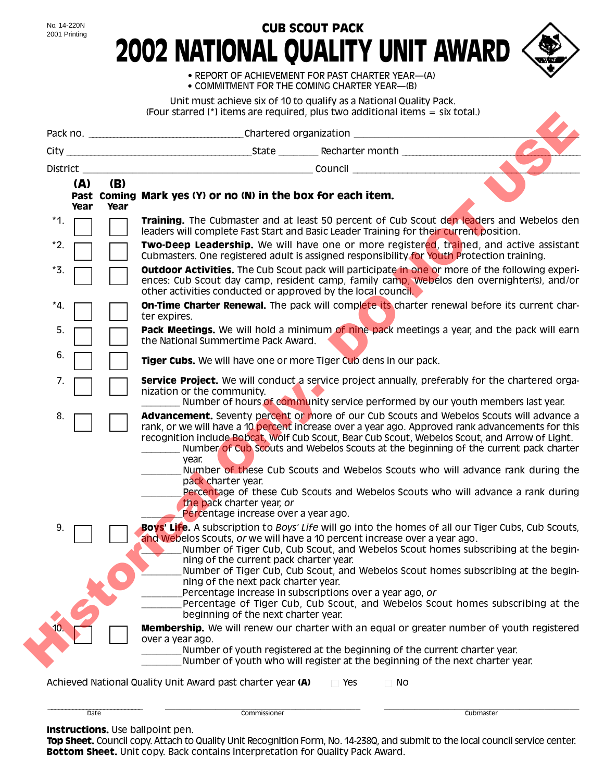| 2001 Printing |                                                                                                   | <b>CUB SCOUT PACK</b>                                                                                                                                                                                                                                                                                                                                                                         |  |
|---------------|---------------------------------------------------------------------------------------------------|-----------------------------------------------------------------------------------------------------------------------------------------------------------------------------------------------------------------------------------------------------------------------------------------------------------------------------------------------------------------------------------------------|--|
|               |                                                                                                   | <b>2002 NATIONAL QUALITY UNIT AWARD</b>                                                                                                                                                                                                                                                                                                                                                       |  |
|               | • REPORT OF ACHIEVEMENT FOR PAST CHARTER YEAR-(A)<br>• COMMITMENT FOR THE COMING CHARTER YEAR—(B) |                                                                                                                                                                                                                                                                                                                                                                                               |  |
|               |                                                                                                   | Unit must achieve six of 10 to qualify as a National Quality Pack.<br>(Four starred [*] items are required, plus two additional items = six total.)                                                                                                                                                                                                                                           |  |
|               |                                                                                                   |                                                                                                                                                                                                                                                                                                                                                                                               |  |
|               |                                                                                                   |                                                                                                                                                                                                                                                                                                                                                                                               |  |
| District      |                                                                                                   |                                                                                                                                                                                                                                                                                                                                                                                               |  |
| (A)<br>Year   | (B)<br>Past Coming Mark yes (Y) or no (N) in the box for each item.<br>Year                       |                                                                                                                                                                                                                                                                                                                                                                                               |  |
| $*1.$         |                                                                                                   | <b>Training.</b> The Cubmaster and at least 50 percent of Cub Scout den leaders and Webelos den<br>leaders will complete Fast Start and Basic Leader Training for their current position.                                                                                                                                                                                                     |  |
| $*2.$         |                                                                                                   | Two-Deep Leadership. We will have one or more registered, trained, and active assistant<br>Cubmasters. One registered adult is assigned responsibility for Youth Protection training.                                                                                                                                                                                                         |  |
| *3.           |                                                                                                   | <b>Outdoor Activities.</b> The Cub Scout pack will participate in one or more of the following experi-<br>ences: Cub Scout day camp, resident camp, family camp, Webelos den overnighter(s), and/or<br>other activities conducted or approved by the local council.                                                                                                                           |  |
| *4.           | ter expires.                                                                                      | <b>On-Time Charter Renewal.</b> The pack will complete its charter renewal before its current char-                                                                                                                                                                                                                                                                                           |  |
| 5.            | the National Summertime Pack Award.                                                               | <b>Pack Meetings.</b> We will hold a minimum of nine pack meetings a year, and the pack will earn                                                                                                                                                                                                                                                                                             |  |
| 6.            |                                                                                                   | <b>Tiger Cubs.</b> We will have one or more Tiger Cub dens in our pack.                                                                                                                                                                                                                                                                                                                       |  |
| 7.            | nization or the community.                                                                        | <b>Service Project.</b> We will conduct a service project annually, preferably for the chartered orga-<br>Number of hours of community service performed by our youth members last year.                                                                                                                                                                                                      |  |
| 8.            |                                                                                                   | <b>Advancement.</b> Seventy percent or more of our Cub Scouts and Webelos Scouts will advance a<br>rank, or we will have a 10 percent increase over a year ago. Approved rank advancements for this<br>recognition include Bobcat, Wolf Cub Scout, Bear Cub Scout, Webelos Scout, and Arrow of Light.<br>Number of Cub Scouts and Webelos Scouts at the beginning of the current pack charter |  |
|               | year.<br>pack charter year.                                                                       | Number of these Cub Scouts and Webelos Scouts who will advance rank during the                                                                                                                                                                                                                                                                                                                |  |
|               | the pack charter year, or<br>Percentage increase over a year ago.                                 | Percentage of these Cub Scouts and Webelos Scouts who will advance a rank during                                                                                                                                                                                                                                                                                                              |  |
| 9.            | and Webelos Scouts, or we will have a 10 percent increase over a year ago.                        | Boys' Life. A subscription to Boys' Life will go into the homes of all our Tiger Cubs, Cub Scouts,                                                                                                                                                                                                                                                                                            |  |
|               | ning of the current pack charter year.                                                            | Number of Tiger Cub, Cub Scout, and Webelos Scout homes subscribing at the begin-<br>Number of Tiger Cub, Cub Scout, and Webelos Scout homes subscribing at the begin-                                                                                                                                                                                                                        |  |
|               | ning of the next pack charter year.<br>Percentage increase in subscriptions over a year ago, or   |                                                                                                                                                                                                                                                                                                                                                                                               |  |
|               | beginning of the next charter year.                                                               | Percentage of Tiger Cub, Cub Scout, and Webelos Scout homes subscribing at the                                                                                                                                                                                                                                                                                                                |  |
|               | over a year ago.                                                                                  | <b>Membership.</b> We will renew our charter with an equal or greater number of youth registered                                                                                                                                                                                                                                                                                              |  |
|               |                                                                                                   | Number of youth registered at the beginning of the current charter year.<br>Number of youth who will register at the beginning of the next charter year.                                                                                                                                                                                                                                      |  |
|               | Achieved National Quality Unit Award past charter year (A)                                        | $\Box$ No<br>$\Box$ Yes                                                                                                                                                                                                                                                                                                                                                                       |  |
|               |                                                                                                   |                                                                                                                                                                                                                                                                                                                                                                                               |  |

**Instructions.** Use ballpoint pen.

**Top Sheet.** Council copy. Attach to Quality Unit Recognition Form, No. 14-238Q, and submit to the local council service center. **Bottom Sheet.** Unit copy. Back contains interpretation for Quality Pack Award.